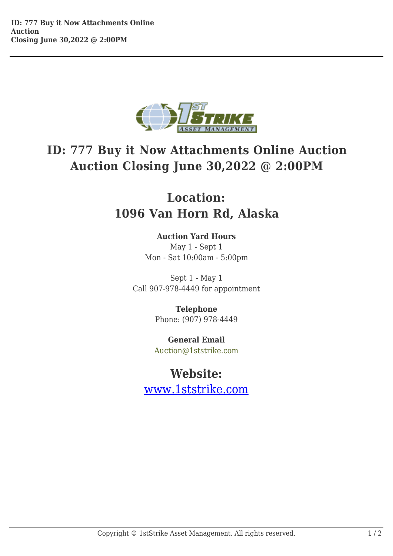

## **ID: 777 Buy it Now Attachments Online Auction Auction Closing June 30,2022 @ 2:00PM**

## **Location: 1096 Van Horn Rd, Alaska**

## **Auction Yard Hours**

May 1 - Sept 1 Mon - Sat 10:00am - 5:00pm

Sept 1 - May 1 Call 907-978-4449 for appointment

> **Telephone** Phone: (907) 978-4449

**General Email** Auction@1ststrike.com

## **Website:**

www.1ststrike.com